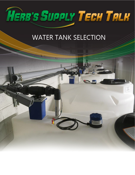

## **WATER TANK SELECTION**